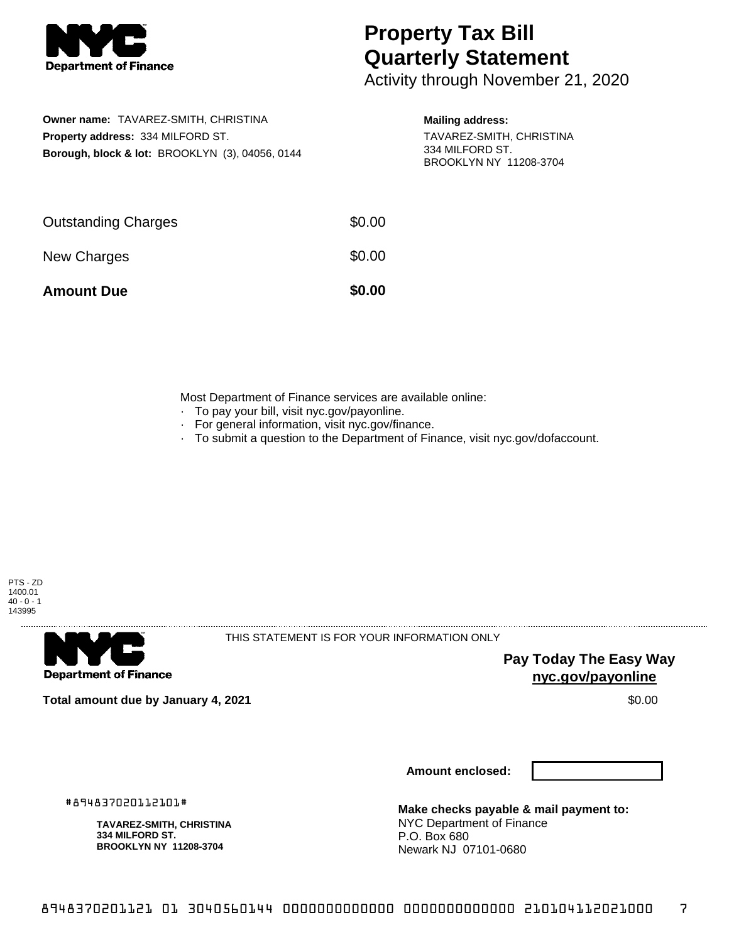

## **Property Tax Bill Quarterly Statement**

Activity through November 21, 2020

**Owner name:** TAVAREZ-SMITH, CHRISTINA **Property address:** 334 MILFORD ST. **Borough, block & lot:** BROOKLYN (3), 04056, 0144

## **Mailing address:**

TAVAREZ-SMITH, CHRISTINA 334 MILFORD ST. BROOKLYN NY 11208-3704

| <b>Amount Due</b>          | \$0.00 |
|----------------------------|--------|
| New Charges                | \$0.00 |
| <b>Outstanding Charges</b> | \$0.00 |

Most Department of Finance services are available online:

- · To pay your bill, visit nyc.gov/payonline.
- For general information, visit nyc.gov/finance.
- · To submit a question to the Department of Finance, visit nyc.gov/dofaccount.



**Department of Finance** 

THIS STATEMENT IS FOR YOUR INFORMATION ONLY

**Pay Today The Easy Way nyc.gov/payonline**

**Total amount due by January 4, 2021** \$0.00

**Amount enclosed:**

#894837020112101#

**TAVAREZ-SMITH, CHRISTINA 334 MILFORD ST. BROOKLYN NY 11208-3704**

**Make checks payable & mail payment to:** NYC Department of Finance P.O. Box 680 Newark NJ 07101-0680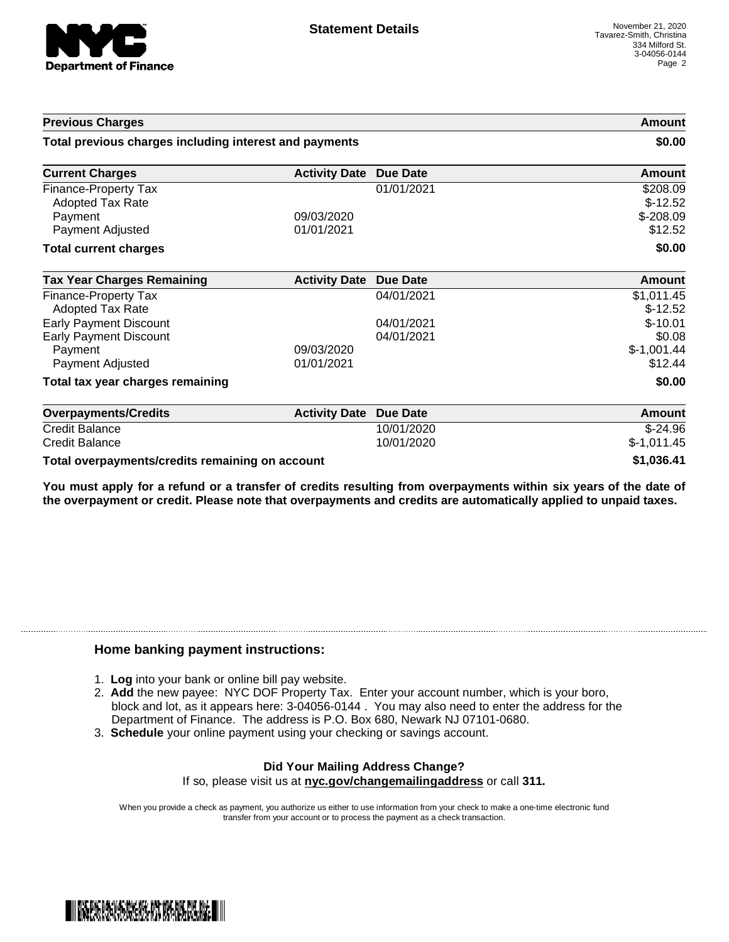

| <b>Previous Charges</b>                                                   |                          | Amount<br>\$0.00         |                                     |
|---------------------------------------------------------------------------|--------------------------|--------------------------|-------------------------------------|
| Total previous charges including interest and payments                    |                          |                          |                                     |
| <b>Current Charges</b>                                                    | <b>Activity Date</b>     | <b>Due Date</b>          | Amount                              |
| Finance-Property Tax<br>Adopted Tax Rate                                  |                          | 01/01/2021               | \$208.09<br>$$-12.52$               |
| Payment<br>Payment Adjusted                                               | 09/03/2020<br>01/01/2021 |                          | $$-208.09$<br>\$12.52               |
| <b>Total current charges</b>                                              |                          |                          | \$0.00                              |
| <b>Tax Year Charges Remaining</b>                                         | <b>Activity Date</b>     | <b>Due Date</b>          | <b>Amount</b>                       |
| Finance-Property Tax<br>Adopted Tax Rate                                  |                          | 04/01/2021               | \$1,011.45<br>$$-12.52$             |
| <b>Early Payment Discount</b><br><b>Early Payment Discount</b><br>Payment | 09/03/2020               | 04/01/2021<br>04/01/2021 | $$-10.01$<br>\$0.08<br>$$-1,001.44$ |
| Payment Adjusted<br>Total tax year charges remaining                      | 01/01/2021               |                          | \$12.44<br>\$0.00                   |
| <b>Overpayments/Credits</b>                                               | <b>Activity Date</b>     | Due Date                 | Amount                              |
| <b>Credit Balance</b>                                                     |                          | 10/01/2020               | $$-24.96$                           |
| <b>Credit Balance</b>                                                     |                          | 10/01/2020               | $$-1,011.45$                        |
| Total overpayments/credits remaining on account                           |                          |                          | \$1,036.41                          |

You must apply for a refund or a transfer of credits resulting from overpayments within six years of the date of **the overpayment or credit. Please note that overpayments and credits are automatically applied to unpaid taxes.**

## **Home banking payment instructions:**

- 1. **Log** into your bank or online bill pay website.
- 2. **Add** the new payee: NYC DOF Property Tax. Enter your account number, which is your boro, block and lot, as it appears here: 3-04056-0144 . You may also need to enter the address for the Department of Finance. The address is P.O. Box 680, Newark NJ 07101-0680.
- 3. **Schedule** your online payment using your checking or savings account.

## **Did Your Mailing Address Change?**

If so, please visit us at **nyc.gov/changemailingaddress** or call **311.**

When you provide a check as payment, you authorize us either to use information from your check to make a one-time electronic fund transfer from your account or to process the payment as a check transaction.